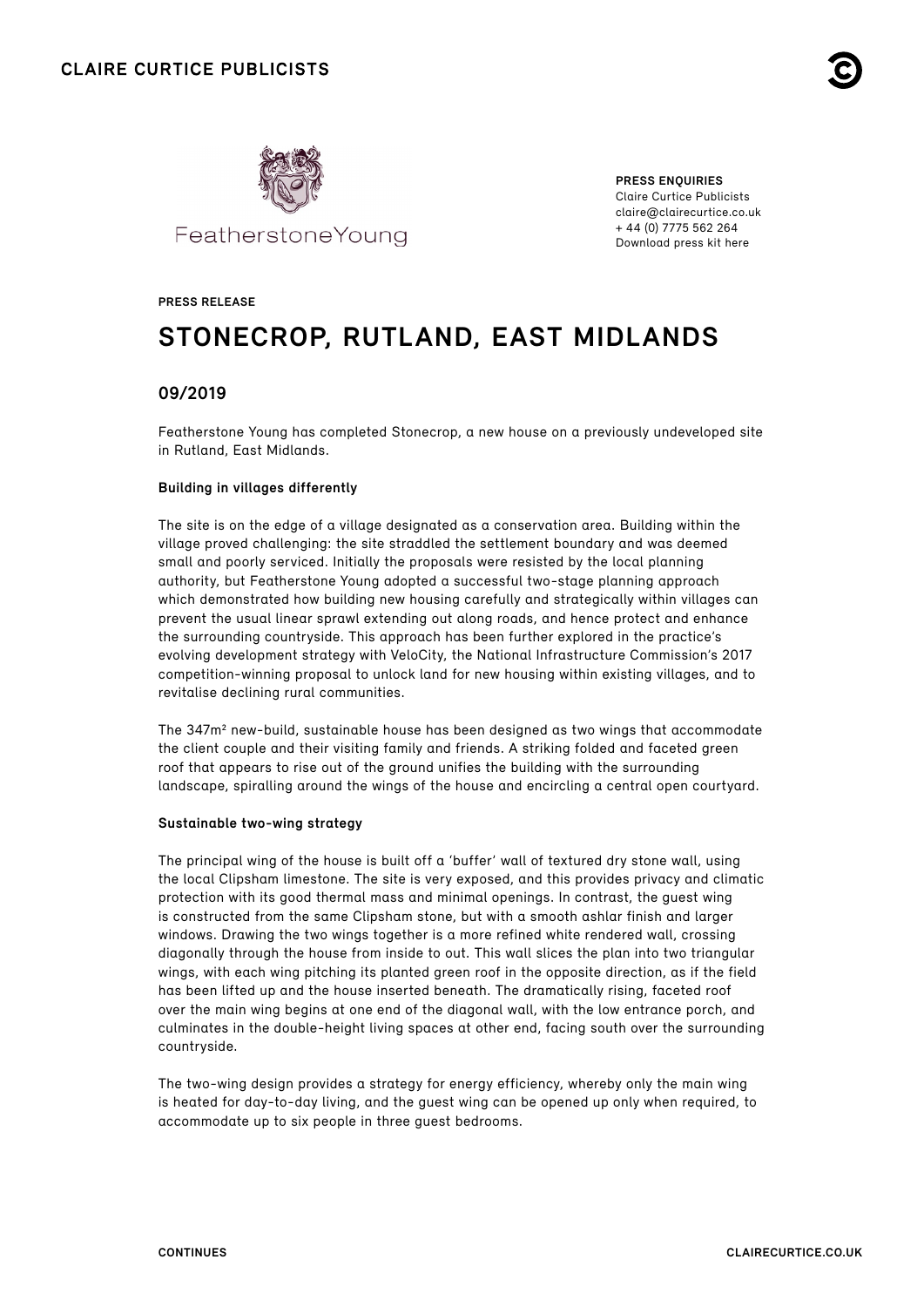



**PRESS ENQUIRIES** Claire Curtice Publicists claire@clairecurtice.co.uk + 44 (0) 7775 562 264 [Download press kit here](https://www.dropbox.com/sh/9qb6avs10rwku0y/AAAkyhyRuqPk1lQE2rRQvJaJa?dl=0)

#### **PRESS RELEASE**

# **STONECROP, RUTLAND, EAST MIDLANDS**

### **09/2019**

Featherstone Young has completed Stonecrop, a new house on a previously undeveloped site in Rutland, East Midlands.

#### **Building in villages differently**

The site is on the edge of a village designated as a conservation area. Building within the village proved challenging: the site straddled the settlement boundary and was deemed small and poorly serviced. Initially the proposals were resisted by the local planning authority, but Featherstone Young adopted a successful two-stage planning approach which demonstrated how building new housing carefully and strategically within villages can prevent the usual linear sprawl extending out along roads, and hence protect and enhance the surrounding countryside. This approach has been further explored in the practice's evolving development strategy with VeloCity, the National Infrastructure Commission's 2017 competition-winning proposal to unlock land for new housing within existing villages, and to revitalise declining rural communities.

The 347m<sup>2</sup> new-build, sustainable house has been designed as two wings that accommodate the client couple and their visiting family and friends. A striking folded and faceted green roof that appears to rise out of the ground unifies the building with the surrounding landscape, spiralling around the wings of the house and encircling a central open courtyard.

#### **Sustainable two-wing strategy**

The principal wing of the house is built off a 'buffer' wall of textured dry stone wall, using the local Clipsham limestone. The site is very exposed, and this provides privacy and climatic protection with its good thermal mass and minimal openings. In contrast, the guest wing is constructed from the same Clipsham stone, but with a smooth ashlar finish and larger windows. Drawing the two wings together is a more refined white rendered wall, crossing diagonally through the house from inside to out. This wall slices the plan into two triangular wings, with each wing pitching its planted green roof in the opposite direction, as if the field has been lifted up and the house inserted beneath. The dramatically rising, faceted roof over the main wing begins at one end of the diagonal wall, with the low entrance porch, and culminates in the double-height living spaces at other end, facing south over the surrounding countryside.

The two-wing design provides a strategy for energy efficiency, whereby only the main wing is heated for day-to-day living, and the guest wing can be opened up only when required, to accommodate up to six people in three guest bedrooms.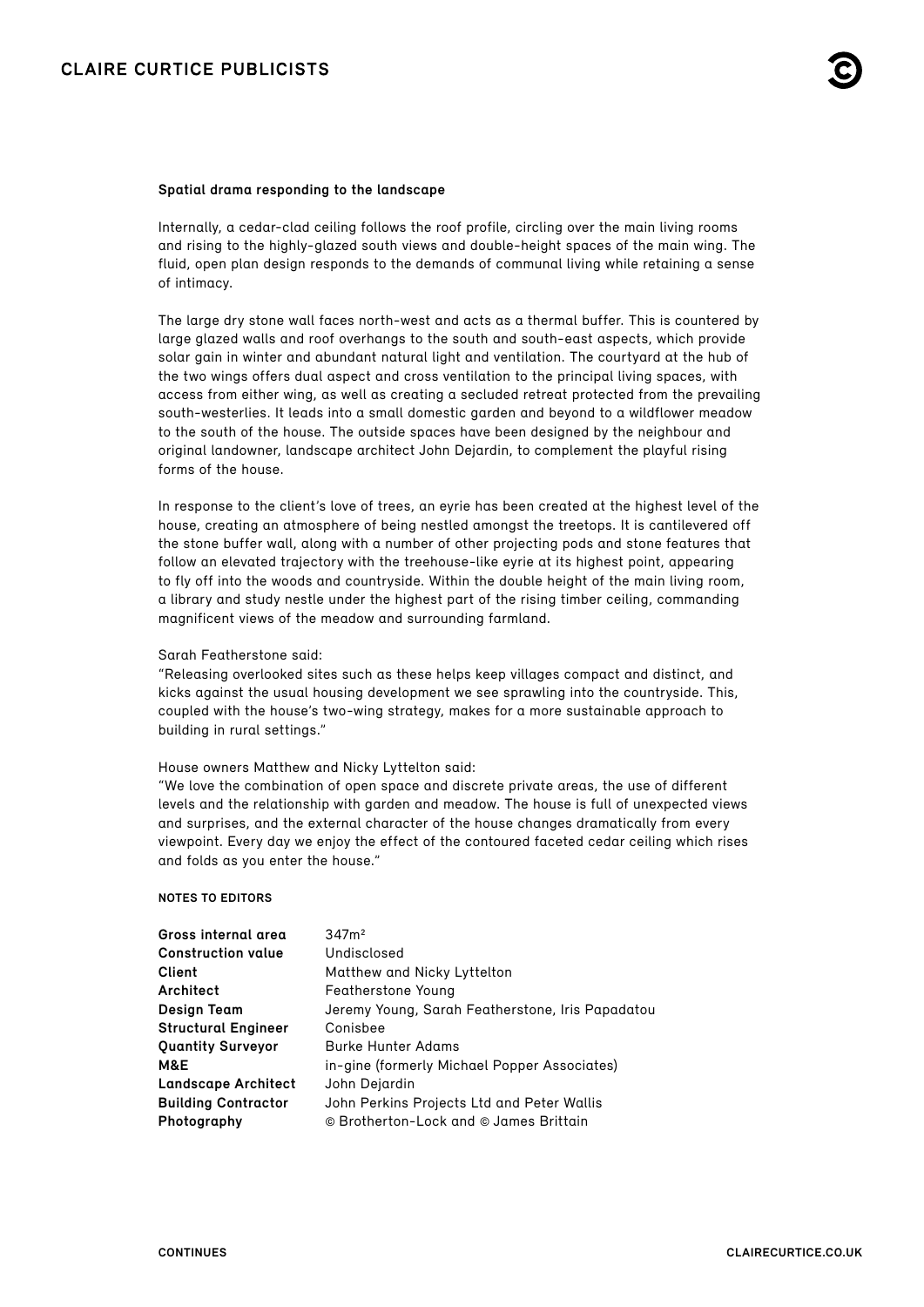#### **Spatial drama responding to the landscape**

Internally, a cedar-clad ceiling follows the roof profile, circling over the main living rooms and rising to the highly-glazed south views and double-height spaces of the main wing. The fluid, open plan design responds to the demands of communal living while retaining a sense of intimacy.

The large dry stone wall faces north-west and acts as a thermal buffer. This is countered by large glazed walls and roof overhangs to the south and south-east aspects, which provide solar gain in winter and abundant natural light and ventilation. The courtyard at the hub of the two wings offers dual aspect and cross ventilation to the principal living spaces, with access from either wing, as well as creating a secluded retreat protected from the prevailing south-westerlies. It leads into a small domestic garden and beyond to a wildflower meadow to the south of the house. The outside spaces have been designed by the neighbour and original landowner, landscape architect John Dejardin, to complement the playful rising forms of the house.

In response to the client's love of trees, an eyrie has been created at the highest level of the house, creating an atmosphere of being nestled amongst the treetops. It is cantilevered off the stone buffer wall, along with a number of other projecting pods and stone features that follow an elevated trajectory with the treehouse-like eyrie at its highest point, appearing to fly off into the woods and countryside. Within the double height of the main living room, a library and study nestle under the highest part of the rising timber ceiling, commanding magnificent views of the meadow and surrounding farmland.

Sarah Featherstone said:

"Releasing overlooked sites such as these helps keep villages compact and distinct, and kicks against the usual housing development we see sprawling into the countryside. This, coupled with the house's two-wing strategy, makes for a more sustainable approach to building in rural settings."

#### House owners Matthew and Nicky Lyttelton said:

"We love the combination of open space and discrete private areas, the use of different levels and the relationship with garden and meadow. The house is full of unexpected views and surprises, and the external character of the house changes dramatically from every viewpoint. Every day we enjoy the effect of the contoured faceted cedar ceiling which rises and folds as you enter the house."

#### **NOTES TO EDITORS**

| Gross internal area        | 347m <sup>2</sup>                                |
|----------------------------|--------------------------------------------------|
| <b>Construction value</b>  | Undisclosed                                      |
| Client                     | Matthew and Nicky Lyttelton                      |
| Architect                  | <b>Featherstone Young</b>                        |
| <b>Design Team</b>         | Jeremy Young, Sarah Featherstone, Iris Papadatou |
| <b>Structural Engineer</b> | Conisbee                                         |
| <b>Quantity Surveyor</b>   | Burke Hunter Adams                               |
| M&E                        | in-gine (formerly Michael Popper Associates)     |
| <b>Landscape Architect</b> | John Dejardin                                    |
| <b>Building Contractor</b> | John Perkins Projects Ltd and Peter Wallis       |
| Photography                | © Brotherton-Lock and © James Brittain           |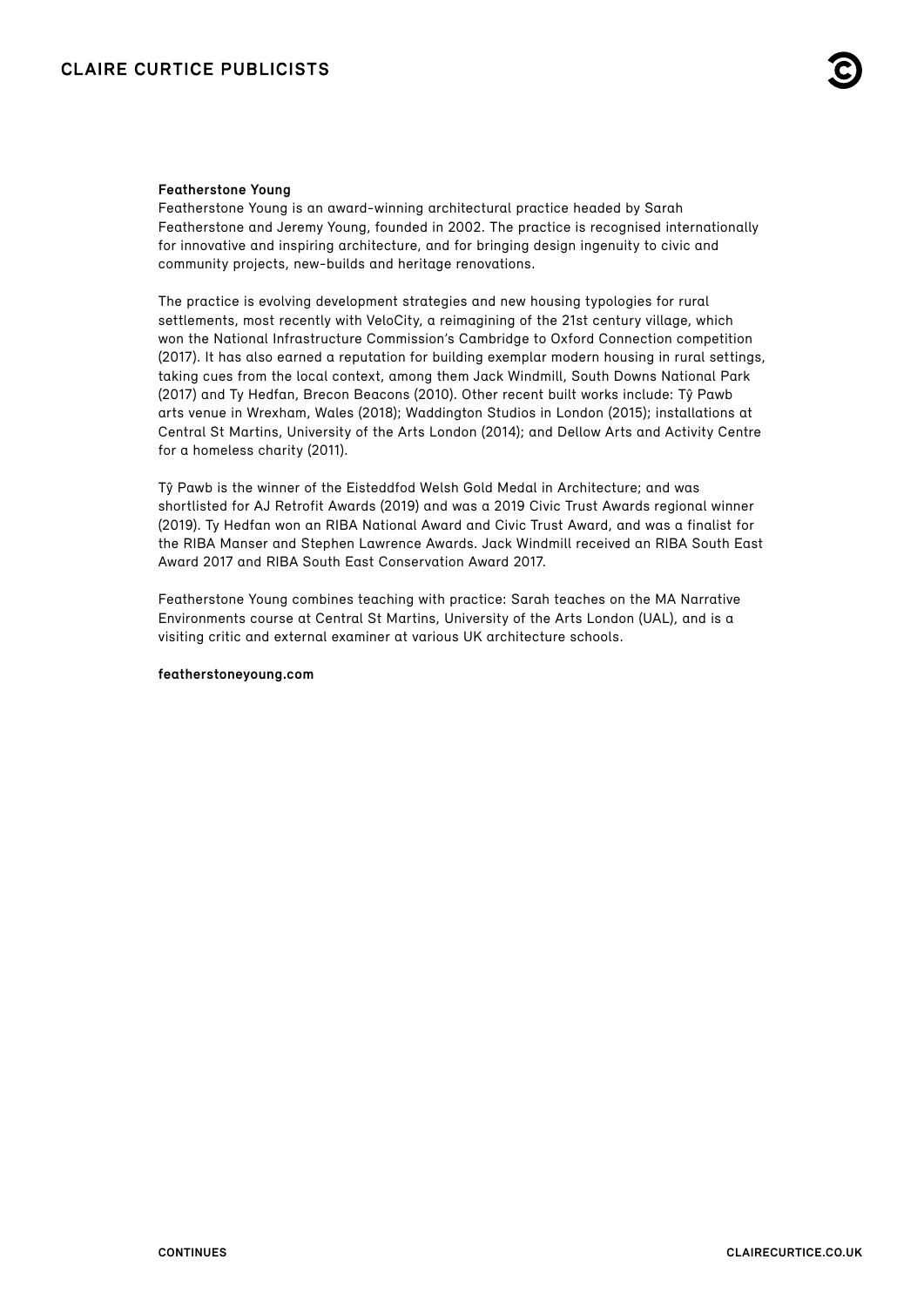#### **Featherstone Young**

Featherstone Young is an award-winning architectural practice headed by Sarah Featherstone and Jeremy Young, founded in 2002. The practice is recognised internationally for innovative and inspiring architecture, and for bringing design ingenuity to civic and community projects, new-builds and heritage renovations.

The practice is evolving development strategies and new housing typologies for rural settlements, most recently with VeloCity, a reimagining of the 21st century village, which won the National Infrastructure Commission's Cambridge to Oxford Connection competition (2017). It has also earned a reputation for building exemplar modern housing in rural settings, taking cues from the local context, among them Jack Windmill, South Downs National Park (2017) and Ty Hedfan, Brecon Beacons (2010). Other recent built works include: Tŷ Pawb arts venue in Wrexham, Wales (2018); Waddington Studios in London (2015); installations at Central St Martins, University of the Arts London (2014); and Dellow Arts and Activity Centre for a homeless charity (2011).

Tŷ Pawb is the winner of the Eisteddfod Welsh Gold Medal in Architecture; and was shortlisted for AJ Retrofit Awards (2019) and was a 2019 Civic Trust Awards regional winner (2019). Ty Hedfan won an RIBA National Award and Civic Trust Award, and was a finalist for the RIBA Manser and Stephen Lawrence Awards. Jack Windmill received an RIBA South East Award 2017 and RIBA South East Conservation Award 2017.

Featherstone Young combines teaching with practice: Sarah teaches on the MA Narrative Environments course at Central St Martins, University of the Arts London (UAL), and is a visiting critic and external examiner at various UK architecture schools.

#### **[featherstoneyoung.com](http://featherstoneyoung.com/)**